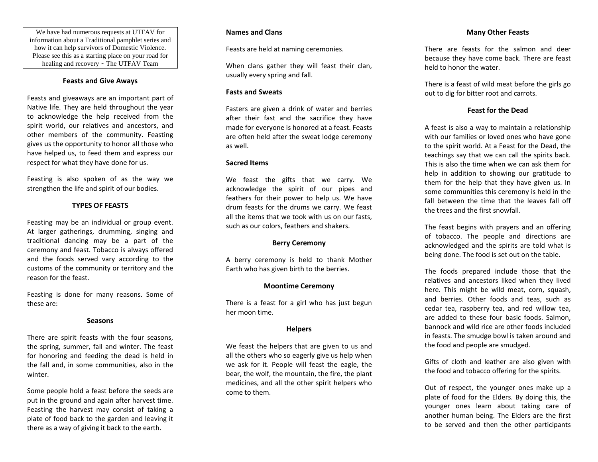We have had numerous requests at UTFAV for information about a Traditional pamphlet series and how it can help survivors of Domestic Violence. Please see this as a starting place on your road for healing and recovery ~ The UTFAV Team

### **Feasts and Give Aways**

Feasts and giveaways are an important part of Native life. They are held throughout the year to acknowledge the help received from the spirit world, our relatives and ancestors, and other members of the community. Feasting gives us the opportunity to honor all those who have helped us, to feed them and express our respect for what they have done for us.

Feasting is also spoken of as the way we strengthen the life and spirit of our bodies.

# **TYPES OF FEASTS**

Feasting may be an individual or group event. At larger gatherings, drumming, singing and traditional dancing may be a part of the ceremony and feast. Tobacco is always offered and the foods served vary according to the customs of the community or territory and the reason for the feast.

Feasting is done for many reasons. Some of these are:

#### **Seasons**

There are spirit feasts with the four seasons, the spring, summer, fall and winter. The feast for honoring and feeding the dead is held in the fall and, in some communities, also in the winter.

Some people hold a feast before the seeds are put in the ground and again after harvest time. Feasting the harvest may consist of taking a plate of food back to the garden and leaving it there as a way of giving it back to the earth.

### **Names and Clans**

Feasts are held at naming ceremonies.

When clans gather they will feast their clan, usually every spring and fall.

#### **Fasts and Sweats**

Fasters are given a drink of water and berries after their fast and the sacrifice they have made for everyone is honored at a feast. Feasts are often held after the sweat lodge ceremony as well.

#### **Sacred Items**

We feast the gifts that we carry. We acknowledge the spirit of our pipes and feathers for their power to help us. We have drum feasts for the drums we carry. We feast all the items that we took with us on our fasts, such as our colors, feathers and shakers.

#### **Berry Ceremony**

A berry ceremony is held to thank Mother Earth who has given birth to the berries.

#### **Moontime Ceremony**

There is a feast for a girl who has just begun her moon time.

#### **Helpers**

We feast the helpers that are given to us and all the others who so eagerly give us help when we ask for it. People will feast the eagle, the bear, the wolf, the mountain, the fire, the plant medicines, and all the other spirit helpers who come to them.

### **Many Other Feasts**

There are feasts for the salmon and deer because they have come back. There are feast held to honor the water.

There is a feast of wild meat before the girls go out to dig for bitter root and carrots.

# **Feast for the Dead**

A feast is also a way to maintain a relationship with our families or loved ones who have gone to the spirit world. At a Feast for the Dead, the teachings say that we can call the spirits back. This is also the time when we can ask them for help in addition to showing our gratitude to them for the help that they have given us. In some communities this ceremony is held in the fall between the time that the leaves fall off the trees and the first snowfall.

The feast begins with prayers and an offering of tobacco. The people and directions are acknowledged and the spirits are told what is being done. The food is set out on the table.

The foods prepared include those that the relatives and ancestors liked when they lived here. This might be wild meat, corn, squash, and berries. Other foods and teas, such as cedar tea, raspberry tea, and red willow tea, are added to these four basic foods. Salmon, bannock and wild rice are other foods included in feasts. The smudge bowl is taken around and the food and people are smudged.

Gifts of cloth and leather are also given with the food and tobacco offering for the spirits.

Out of respect, the younger ones make up a plate of food for the Elders. By doing this, the younger ones learn about taking care of another human being. The Elders are the first to be served and then the other participants